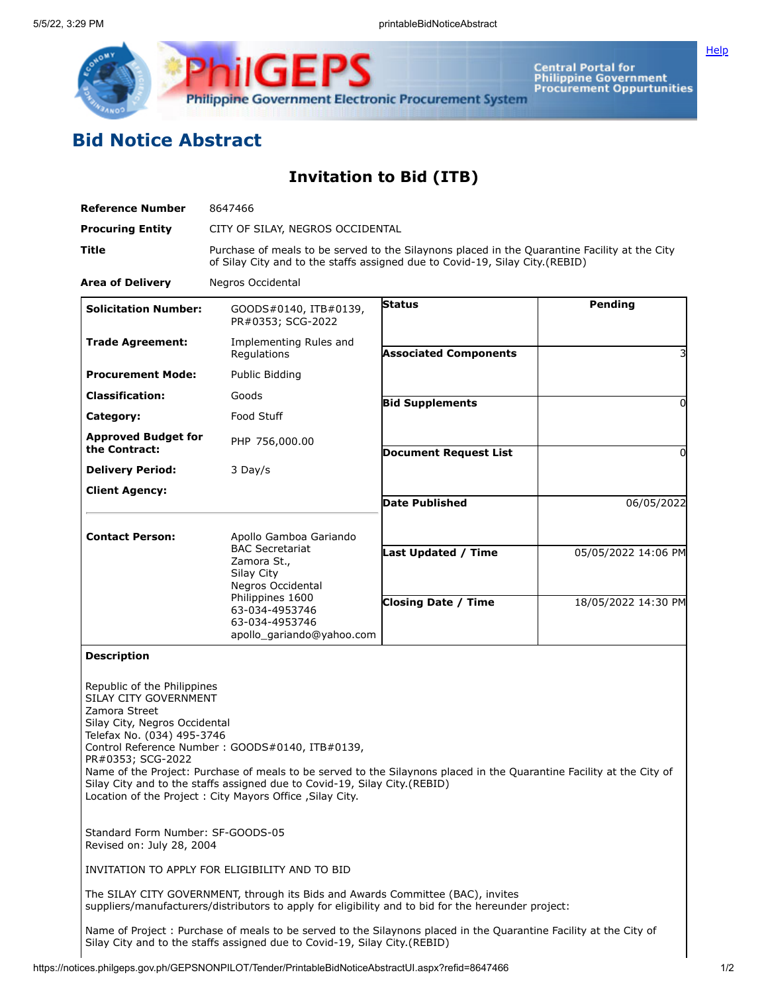

Central Portal for<br>Philippine Government<br>Procurement Oppurtunities

## **Bid Notice Abstract**

**Invitation to Bid (ITB)**

| <b>Reference Number</b>                                                                                                                                                                                                                                                                                                                                                                                                                                                          | 8647466                                                                                                                                                                       |                              |                     |  |  |  |  |
|----------------------------------------------------------------------------------------------------------------------------------------------------------------------------------------------------------------------------------------------------------------------------------------------------------------------------------------------------------------------------------------------------------------------------------------------------------------------------------|-------------------------------------------------------------------------------------------------------------------------------------------------------------------------------|------------------------------|---------------------|--|--|--|--|
| <b>Procuring Entity</b>                                                                                                                                                                                                                                                                                                                                                                                                                                                          | CITY OF SILAY, NEGROS OCCIDENTAL                                                                                                                                              |                              |                     |  |  |  |  |
| Title                                                                                                                                                                                                                                                                                                                                                                                                                                                                            | Purchase of meals to be served to the Silaynons placed in the Quarantine Facility at the City<br>of Silay City and to the staffs assigned due to Covid-19, Silay City.(REBID) |                              |                     |  |  |  |  |
| <b>Area of Delivery</b>                                                                                                                                                                                                                                                                                                                                                                                                                                                          | Negros Occidental                                                                                                                                                             |                              |                     |  |  |  |  |
| <b>Solicitation Number:</b>                                                                                                                                                                                                                                                                                                                                                                                                                                                      | GOODS#0140, ITB#0139,<br>PR#0353; SCG-2022                                                                                                                                    | <b>Status</b>                | <b>Pending</b>      |  |  |  |  |
| <b>Trade Agreement:</b>                                                                                                                                                                                                                                                                                                                                                                                                                                                          | Implementing Rules and<br>Regulations                                                                                                                                         | <b>Associated Components</b> |                     |  |  |  |  |
| <b>Procurement Mode:</b>                                                                                                                                                                                                                                                                                                                                                                                                                                                         | Public Bidding                                                                                                                                                                |                              |                     |  |  |  |  |
| <b>Classification:</b>                                                                                                                                                                                                                                                                                                                                                                                                                                                           | Goods                                                                                                                                                                         | <b>Bid Supplements</b>       | 0                   |  |  |  |  |
| Category:                                                                                                                                                                                                                                                                                                                                                                                                                                                                        | Food Stuff                                                                                                                                                                    |                              |                     |  |  |  |  |
| <b>Approved Budget for</b><br>the Contract:                                                                                                                                                                                                                                                                                                                                                                                                                                      | PHP 756,000.00                                                                                                                                                                | <b>Document Request List</b> | $\Omega$            |  |  |  |  |
| <b>Delivery Period:</b>                                                                                                                                                                                                                                                                                                                                                                                                                                                          | 3 Day/s                                                                                                                                                                       |                              |                     |  |  |  |  |
| <b>Client Agency:</b>                                                                                                                                                                                                                                                                                                                                                                                                                                                            |                                                                                                                                                                               | <b>Date Published</b>        | 06/05/2022          |  |  |  |  |
|                                                                                                                                                                                                                                                                                                                                                                                                                                                                                  |                                                                                                                                                                               |                              |                     |  |  |  |  |
| <b>Contact Person:</b>                                                                                                                                                                                                                                                                                                                                                                                                                                                           | Apollo Gamboa Gariando                                                                                                                                                        |                              |                     |  |  |  |  |
|                                                                                                                                                                                                                                                                                                                                                                                                                                                                                  | <b>BAC Secretariat</b><br>Zamora St.,                                                                                                                                         | Last Updated / Time          | 05/05/2022 14:06 PM |  |  |  |  |
|                                                                                                                                                                                                                                                                                                                                                                                                                                                                                  | Silay City                                                                                                                                                                    |                              |                     |  |  |  |  |
| Negros Occidental<br>Philippines 1600<br>63-034-4953746<br>63-034-4953746<br>apollo_gariando@yahoo.com                                                                                                                                                                                                                                                                                                                                                                           |                                                                                                                                                                               | <b>Closing Date / Time</b>   | 18/05/2022 14:30 PM |  |  |  |  |
|                                                                                                                                                                                                                                                                                                                                                                                                                                                                                  |                                                                                                                                                                               |                              |                     |  |  |  |  |
|                                                                                                                                                                                                                                                                                                                                                                                                                                                                                  |                                                                                                                                                                               |                              |                     |  |  |  |  |
| <b>Description</b>                                                                                                                                                                                                                                                                                                                                                                                                                                                               |                                                                                                                                                                               |                              |                     |  |  |  |  |
| Republic of the Philippines<br>SILAY CITY GOVERNMENT<br>Zamora Street<br>Silay City, Negros Occidental<br>Telefax No. (034) 495-3746<br>Control Reference Number: GOODS#0140, ITB#0139,<br>PR#0353; SCG-2022<br>Name of the Project: Purchase of meals to be served to the Silaynons placed in the Quarantine Facility at the City of<br>Silay City and to the staffs assigned due to Covid-19, Silay City.(REBID)<br>Location of the Project : City Mayors Office , Silay City. |                                                                                                                                                                               |                              |                     |  |  |  |  |
| Standard Form Number: SF-GOODS-05<br>Revised on: July 28, 2004                                                                                                                                                                                                                                                                                                                                                                                                                   |                                                                                                                                                                               |                              |                     |  |  |  |  |
| INVITATION TO APPLY FOR ELIGIBILITY AND TO BID                                                                                                                                                                                                                                                                                                                                                                                                                                   |                                                                                                                                                                               |                              |                     |  |  |  |  |
| The SILAY CITY GOVERNMENT, through its Bids and Awards Committee (BAC), invites<br>suppliers/manufacturers/distributors to apply for eligibility and to bid for the hereunder project:                                                                                                                                                                                                                                                                                           |                                                                                                                                                                               |                              |                     |  |  |  |  |
| Name of Project: Purchase of meals to be served to the Silaynons placed in the Quarantine Facility at the City of<br>Silay City and to the staffs assigned due to Covid-19, Silay City.(REBID)                                                                                                                                                                                                                                                                                   |                                                                                                                                                                               |                              |                     |  |  |  |  |

**[Help](javascript:void(window.open()**